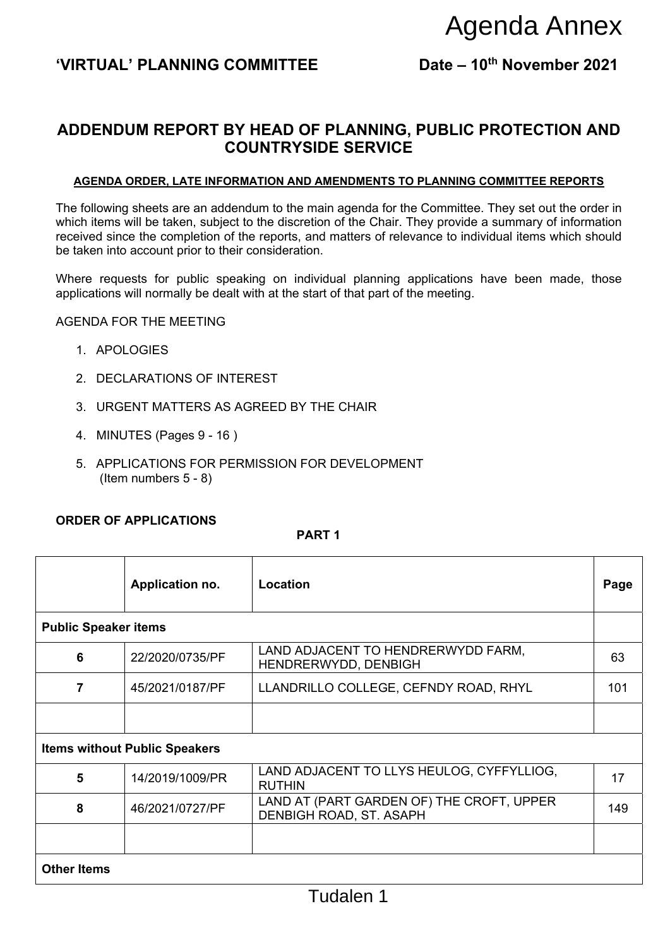# 'VIRTUAL' PLANNING COMMITTEE Date – 10<sup>th</sup> November 2021

# **ADDENDUM REPORT BY HEAD OF PLANNING, PUBLIC PROTECTION AND COUNTRYSIDE SERVICE**

#### **AGENDA ORDER, LATE INFORMATION AND AMENDMENTS TO PLANNING COMMITTEE REPORTS**

#### AGENDA FOR THE MEETING

- 1. APOLOGIES
- 2. DECLARATIONS OF INTEREST
- 3. URGENT MATTERS AS AGREED BY THE CHAIR
- 4. MINUTES (Pages 9 16 )
- 5. APPLICATIONS FOR PERMISSION FOR DEVELOPMENT (Item numbers 5 - 8)

### **ORDER OF APPLICATIONS**

#### **PART 1**

|                             |                                                     |                                                                                                                                                                                                                                                                                                                             | Agenda Annex |  |  |
|-----------------------------|-----------------------------------------------------|-----------------------------------------------------------------------------------------------------------------------------------------------------------------------------------------------------------------------------------------------------------------------------------------------------------------------------|--------------|--|--|
|                             | 'VIRTUAL' PLANNING COMMITTEE                        | Date - 10th November 2021                                                                                                                                                                                                                                                                                                   |              |  |  |
|                             |                                                     | ADDENDUM REPORT BY HEAD OF PLANNING, PUBLIC PROTECTION AND<br><b>COUNTRYSIDE SERVICE</b>                                                                                                                                                                                                                                    |              |  |  |
|                             |                                                     | <b>AGENDA ORDER, LATE INFORMATION AND AMENDMENTS TO PLANNING COMMITTEE REPORTS</b>                                                                                                                                                                                                                                          |              |  |  |
|                             | be taken into account prior to their consideration. | The following sheets are an addendum to the main agenda for the Committee. They set out the order in<br>which items will be taken, subject to the discretion of the Chair. They provide a summary of information<br>received since the completion of the reports, and matters of relevance to individual items which should |              |  |  |
|                             |                                                     | Where requests for public speaking on individual planning applications have been made, those<br>applications will normally be dealt with at the start of that part of the meeting.                                                                                                                                          |              |  |  |
|                             | <b>AGENDA FOR THE MEETING</b>                       |                                                                                                                                                                                                                                                                                                                             |              |  |  |
| 1. APOLOGIES                |                                                     |                                                                                                                                                                                                                                                                                                                             |              |  |  |
| 2. DECLARATIONS OF INTEREST |                                                     |                                                                                                                                                                                                                                                                                                                             |              |  |  |
|                             | 3. URGENT MATTERS AS AGREED BY THE CHAIR            |                                                                                                                                                                                                                                                                                                                             |              |  |  |
|                             | 4. MINUTES (Pages 9 - 16)                           |                                                                                                                                                                                                                                                                                                                             |              |  |  |
|                             | (Item numbers $5 - 8$ )                             | 5. APPLICATIONS FOR PERMISSION FOR DEVELOPMENT                                                                                                                                                                                                                                                                              |              |  |  |
|                             | <b>ORDER OF APPLICATIONS</b>                        | PART <sub>1</sub>                                                                                                                                                                                                                                                                                                           |              |  |  |
|                             | Application no.                                     | Location                                                                                                                                                                                                                                                                                                                    | Page         |  |  |
| <b>Public Speaker items</b> |                                                     |                                                                                                                                                                                                                                                                                                                             |              |  |  |
| 6                           | 22/2020/0735/PF                                     | LAND ADJACENT TO HENDRERWYDD FARM,<br>HENDRERWYDD, DENBIGH                                                                                                                                                                                                                                                                  | 63           |  |  |
| $\overline{7}$              | 45/2021/0187/PF                                     | LLANDRILLO COLLEGE, CEFNDY ROAD, RHYL                                                                                                                                                                                                                                                                                       | 101          |  |  |
|                             | <b>Items without Public Speakers</b>                |                                                                                                                                                                                                                                                                                                                             |              |  |  |
| 5                           | 14/2019/1009/PR                                     | LAND ADJACENT TO LLYS HEULOG, CYFFYLLIOG,<br><b>RUTHIN</b>                                                                                                                                                                                                                                                                  | 17           |  |  |
| 8                           | 46/2021/0727/PF                                     | LAND AT (PART GARDEN OF) THE CROFT, UPPER<br>DENBIGH ROAD, ST. ASAPH                                                                                                                                                                                                                                                        | 149          |  |  |
| <b>Other Items</b>          |                                                     |                                                                                                                                                                                                                                                                                                                             |              |  |  |
|                             |                                                     | Tudalen 1                                                                                                                                                                                                                                                                                                                   |              |  |  |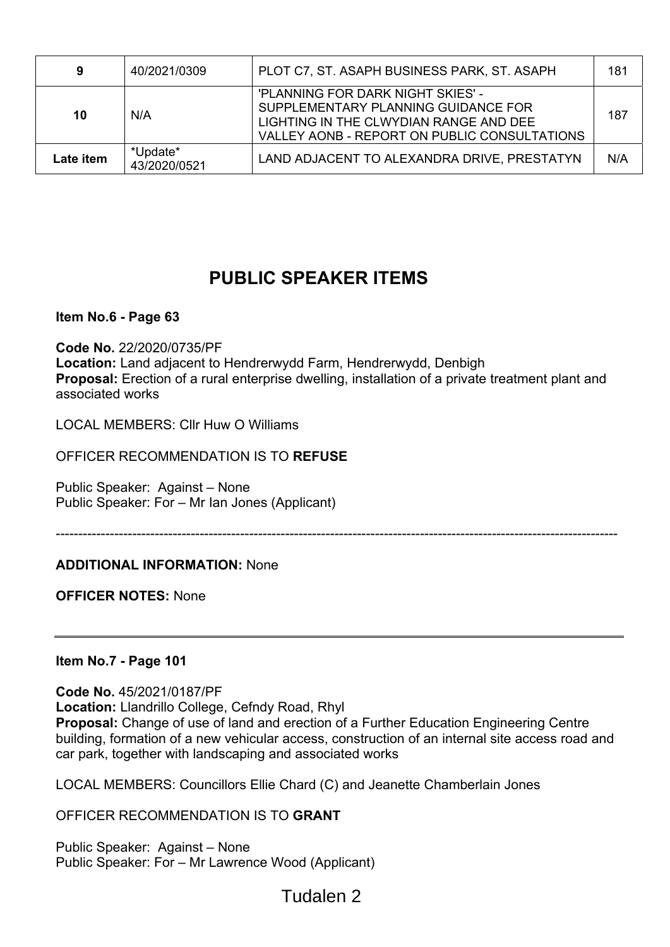| 9         | 40/2021/0309             | PLOT C7, ST. ASAPH BUSINESS PARK, ST. ASAPH                                                                                                                        | 181 |
|-----------|--------------------------|--------------------------------------------------------------------------------------------------------------------------------------------------------------------|-----|
| 10        | N/A                      | 'PLANNING FOR DARK NIGHT SKIES' -<br>SUPPLEMENTARY PLANNING GUIDANCE FOR<br>LIGHTING IN THE CLWYDIAN RANGE AND DEE<br>VALLEY AONB - REPORT ON PUBLIC CONSULTATIONS | 187 |
| Late item | *Update*<br>43/2020/0521 | LAND ADJACENT TO ALEXANDRA DRIVE, PRESTATYN                                                                                                                        | N/A |

# **PUBLIC SPEAKER ITEMS**

# **Item No.6 - Page 63**

**Code No.** 22/2020/0735/PF **Location:** Land adjacent to Hendrerwydd Farm, Hendrerwydd, Denbigh **Proposal:** Erection of a rural enterprise dwelling, installation of a private treatment plant and associated works

LOCAL MEMBERS: Cllr Huw O Williams

OFFICER RECOMMENDATION IS TO **REFUSE** 

Public Speaker: Against – None Public Speaker: For – Mr Ian Jones (Applicant)

-----------------------------------------------------------------------------------------------------------------------------

### **ADDITIONAL INFORMATION:** None

**OFFICER NOTES:** None

### **Item No.7 - Page 101**

**Code No.** 45/2021/0187/PF **Location:** Llandrillo College, Cefndy Road, Rhyl **Proposal:** Change of use of land and erection of a Further Education Engineering Centre building, formation of a new vehicular access, construction of an internal site access road and car park, together with landscaping and associated works

LOCAL MEMBERS: Councillors Ellie Chard (C) and Jeanette Chamberlain Jones

OFFICER RECOMMENDATION IS TO **GRANT** 

Public Speaker: Against – None Public Speaker: For – Mr Lawrence Wood (Applicant)

# Tudalen 2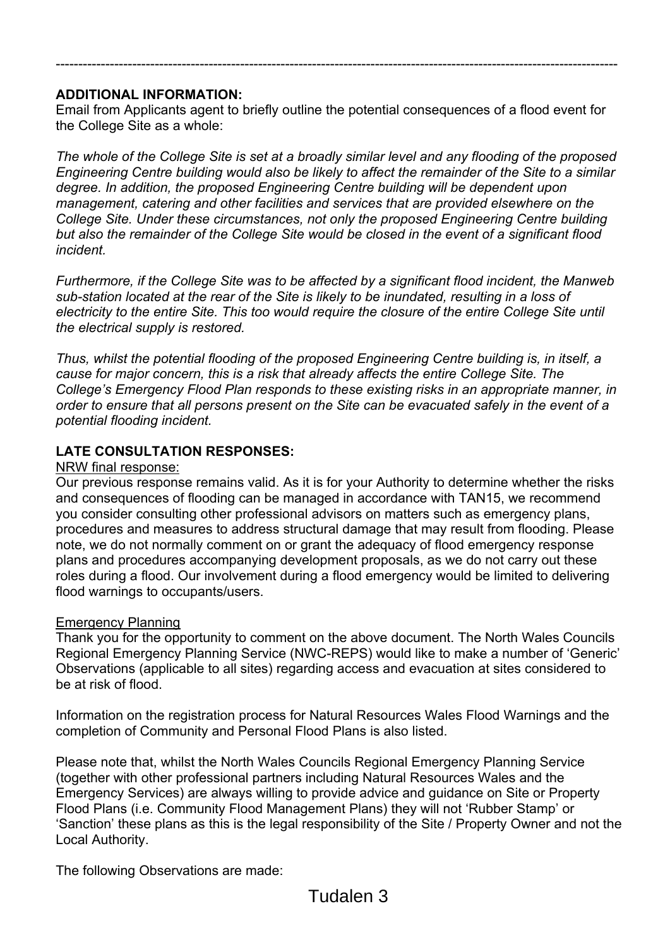# **ADDITIONAL INFORMATION:**

Email from Applicants agent to briefly outline the potential consequences of a flood event for the College Site as a whole:

-----------------------------------------------------------------------------------------------------------------------------

*The whole of the College Site is set at a broadly similar level and any flooding of the proposed Engineering Centre building would also be likely to affect the remainder of the Site to a similar degree. In addition, the proposed Engineering Centre building will be dependent upon management, catering and other facilities and services that are provided elsewhere on the College Site. Under these circumstances, not only the proposed Engineering Centre building but also the remainder of the College Site would be closed in the event of a significant flood incident.* 

*Furthermore, if the College Site was to be affected by a significant flood incident, the Manweb sub-station located at the rear of the Site is likely to be inundated, resulting in a loss of electricity to the entire Site. This too would require the closure of the entire College Site until the electrical supply is restored.* 

*Thus, whilst the potential flooding of the proposed Engineering Centre building is, in itself, a cause for major concern, this is a risk that already affects the entire College Site. The College's Emergency Flood Plan responds to these existing risks in an appropriate manner, in order to ensure that all persons present on the Site can be evacuated safely in the event of a potential flooding incident.* 

# **LATE CONSULTATION RESPONSES:**

## NRW final response:

Our previous response remains valid. As it is for your Authority to determine whether the risks and consequences of flooding can be managed in accordance with TAN15, we recommend you consider consulting other professional advisors on matters such as emergency plans, procedures and measures to address structural damage that may result from flooding. Please note, we do not normally comment on or grant the adequacy of flood emergency response plans and procedures accompanying development proposals, as we do not carry out these roles during a flood. Our involvement during a flood emergency would be limited to delivering flood warnings to occupants/users.

# Emergency Planning

Thank you for the opportunity to comment on the above document. The North Wales Councils Regional Emergency Planning Service (NWC-REPS) would like to make a number of 'Generic' Observations (applicable to all sites) regarding access and evacuation at sites considered to be at risk of flood.

Information on the registration process for Natural Resources Wales Flood Warnings and the completion of Community and Personal Flood Plans is also listed.

Please note that, whilst the North Wales Councils Regional Emergency Planning Service (together with other professional partners including Natural Resources Wales and the Emergency Services) are always willing to provide advice and guidance on Site or Property Flood Plans (i.e. Community Flood Management Plans) they will not 'Rubber Stamp' or 'Sanction' these plans as this is the legal responsibility of the Site / Property Owner and not the Local Authority.

The following Observations are made: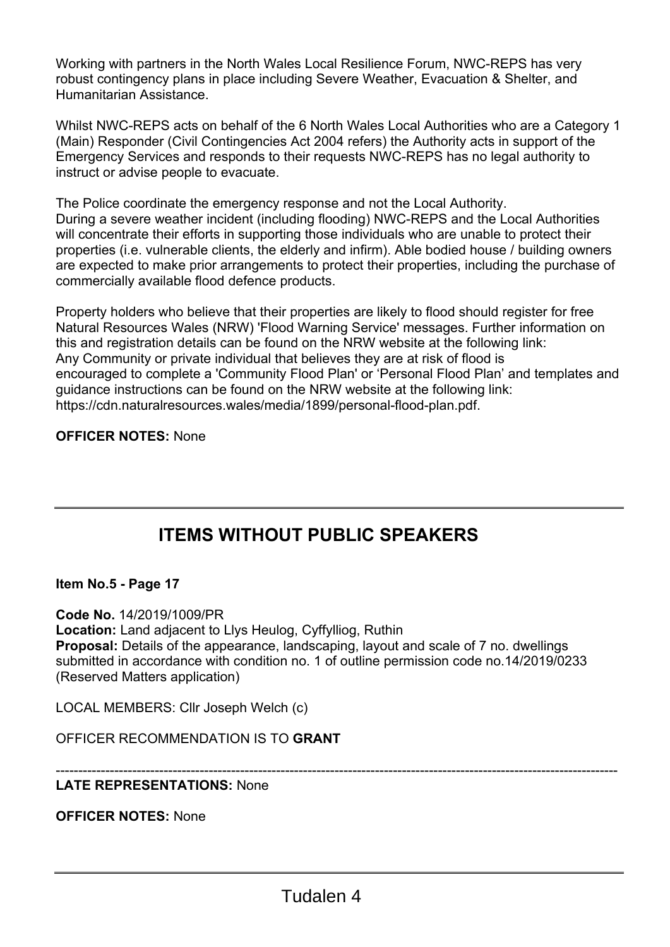Working with partners in the North Wales Local Resilience Forum, NWC-REPS has very robust contingency plans in place including Severe Weather, Evacuation & Shelter, and Humanitarian Assistance.

Whilst NWC-REPS acts on behalf of the 6 North Wales Local Authorities who are a Category 1 (Main) Responder (Civil Contingencies Act 2004 refers) the Authority acts in support of the Emergency Services and responds to their requests NWC-REPS has no legal authority to instruct or advise people to evacuate.

The Police coordinate the emergency response and not the Local Authority. During a severe weather incident (including flooding) NWC-REPS and the Local Authorities will concentrate their efforts in supporting those individuals who are unable to protect their properties (i.e. vulnerable clients, the elderly and infirm). Able bodied house / building owners are expected to make prior arrangements to protect their properties, including the purchase of commercially available flood defence products.

Property holders who believe that their properties are likely to flood should register for free Natural Resources Wales (NRW) 'Flood Warning Service' messages. Further information on this and registration details can be found on the NRW website at the following link: Any Community or private individual that believes they are at risk of flood is encouraged to complete a 'Community Flood Plan' or 'Personal Flood Plan' and templates and guidance instructions can be found on the NRW website at the following link: https://cdn.naturalresources.wales/media/1899/personal-flood-plan.pdf.

# **OFFICER NOTES:** None

# **ITEMS WITHOUT PUBLIC SPEAKERS**

**Item No.5 - Page 17** 

**Code No.** 14/2019/1009/PR **Location:** Land adjacent to Llys Heulog, Cyffylliog, Ruthin **Proposal:** Details of the appearance, landscaping, layout and scale of 7 no. dwellings submitted in accordance with condition no. 1 of outline permission code no.14/2019/0233 (Reserved Matters application)

LOCAL MEMBERS: Cllr Joseph Welch (c)

OFFICER RECOMMENDATION IS TO **GRANT** 

#### ----------------------------------------------------------------------------------------------------------------------------- **LATE REPRESENTATIONS:** None

**OFFICER NOTES:** None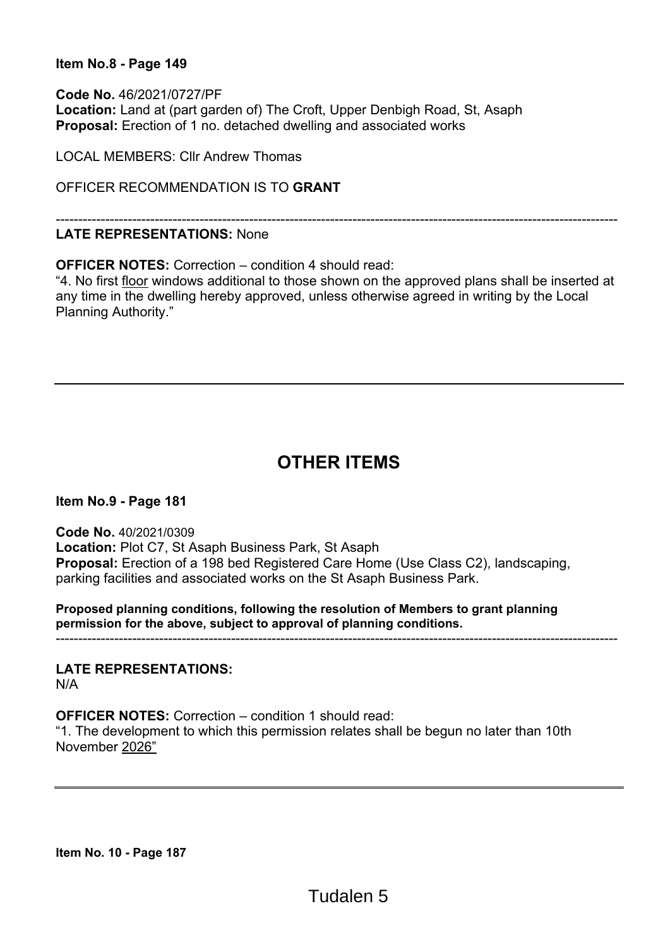## **Item No.8 - Page 149**

**Code No.** 46/2021/0727/PF **Location:** Land at (part garden of) The Croft, Upper Denbigh Road, St, Asaph **Proposal:** Erection of 1 no. detached dwelling and associated works

LOCAL MEMBERS: Cllr Andrew Thomas

OFFICER RECOMMENDATION IS TO **GRANT** 

## **LATE REPRESENTATIONS:** None

**OFFICER NOTES:** Correction – condition 4 should read:

"4. No first floor windows additional to those shown on the approved plans shall be inserted at any time in the dwelling hereby approved, unless otherwise agreed in writing by the Local Planning Authority."

-----------------------------------------------------------------------------------------------------------------------------

# **OTHER ITEMS**

**Item No.9 - Page 181** 

**Code No.** 40/2021/0309 **Location:** Plot C7, St Asaph Business Park, St Asaph **Proposal:** Erection of a 198 bed Registered Care Home (Use Class C2), landscaping, parking facilities and associated works on the St Asaph Business Park.

**Proposed planning conditions, following the resolution of Members to grant planning permission for the above, subject to approval of planning conditions.**  -----------------------------------------------------------------------------------------------------------------------------

**LATE REPRESENTATIONS:**  N/A

**OFFICER NOTES:** Correction – condition 1 should read:

"1. The development to which this permission relates shall be begun no later than 10th November 2026"

**Item No. 10 - Page 187**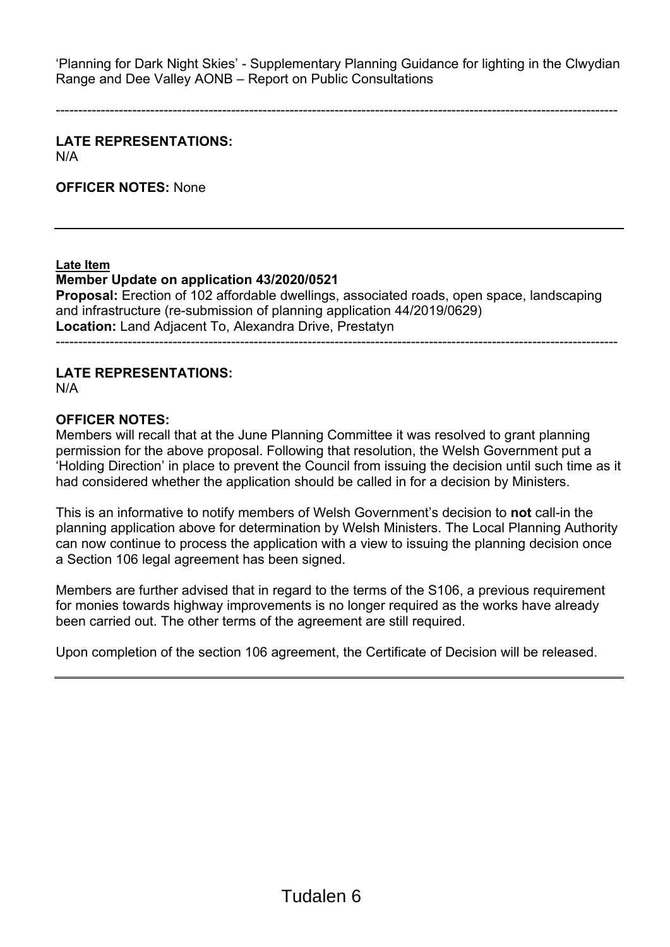'Planning for Dark Night Skies' - Supplementary Planning Guidance for lighting in the Clwydian Range and Dee Valley AONB – Report on Public Consultations

-----------------------------------------------------------------------------------------------------------------------------

**LATE REPRESENTATIONS:**  N/A

**OFFICER NOTES:** None

**Late Item** 

# **Member Update on application 43/2020/0521**

**Proposal:** Erection of 102 affordable dwellings, associated roads, open space, landscaping and infrastructure (re-submission of planning application 44/2019/0629) **Location:** Land Adjacent To, Alexandra Drive, Prestatyn

-----------------------------------------------------------------------------------------------------------------------------

# **LATE REPRESENTATIONS:**

N/A

### **OFFICER NOTES:**

Members will recall that at the June Planning Committee it was resolved to grant planning permission for the above proposal. Following that resolution, the Welsh Government put a 'Holding Direction' in place to prevent the Council from issuing the decision until such time as it had considered whether the application should be called in for a decision by Ministers.

This is an informative to notify members of Welsh Government's decision to **not** call-in the planning application above for determination by Welsh Ministers. The Local Planning Authority can now continue to process the application with a view to issuing the planning decision once a Section 106 legal agreement has been signed.

Members are further advised that in regard to the terms of the S106, a previous requirement for monies towards highway improvements is no longer required as the works have already been carried out. The other terms of the agreement are still required.

Upon completion of the section 106 agreement, the Certificate of Decision will be released.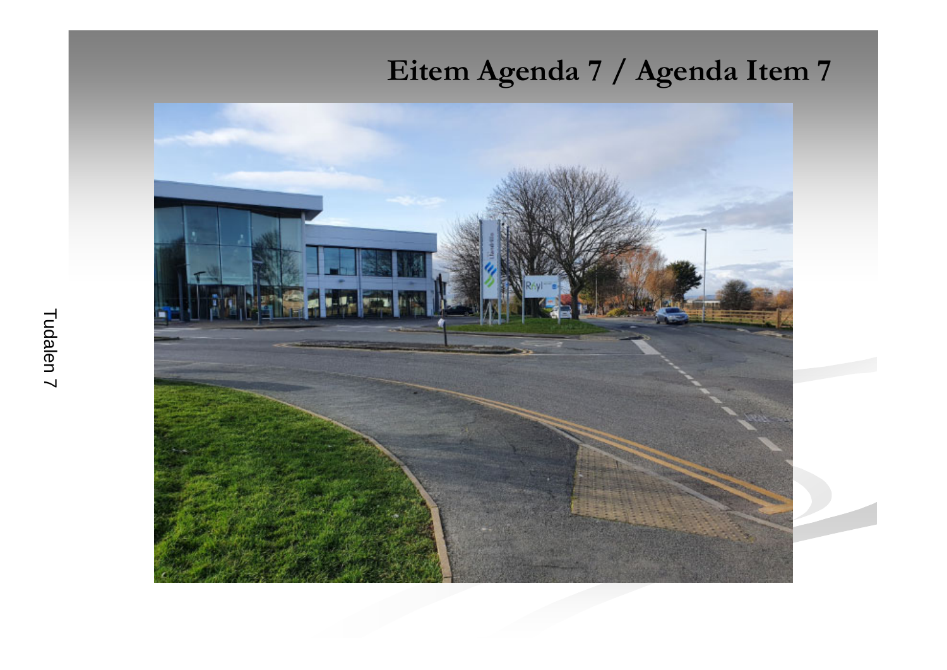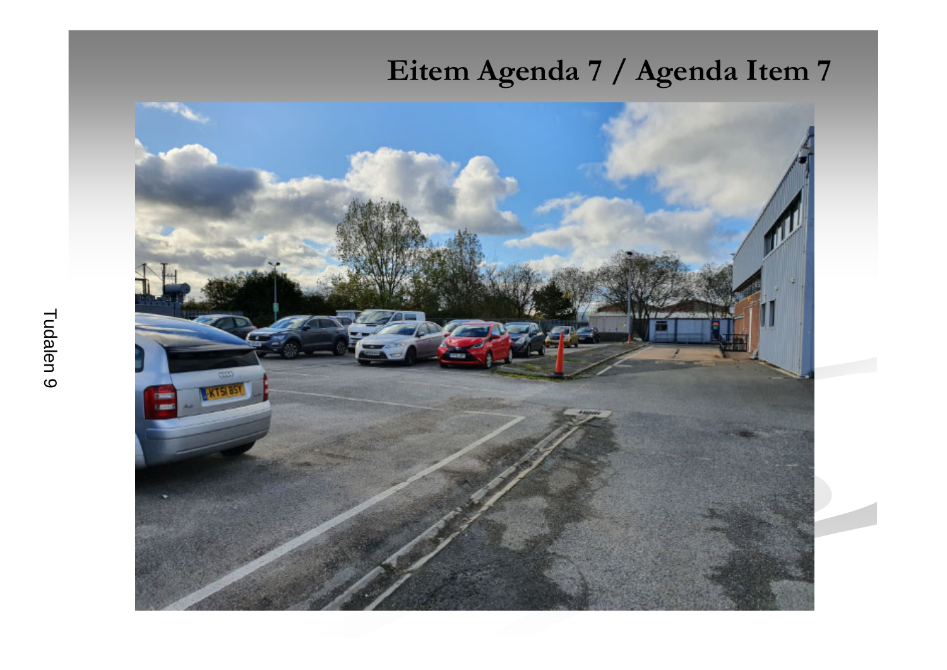